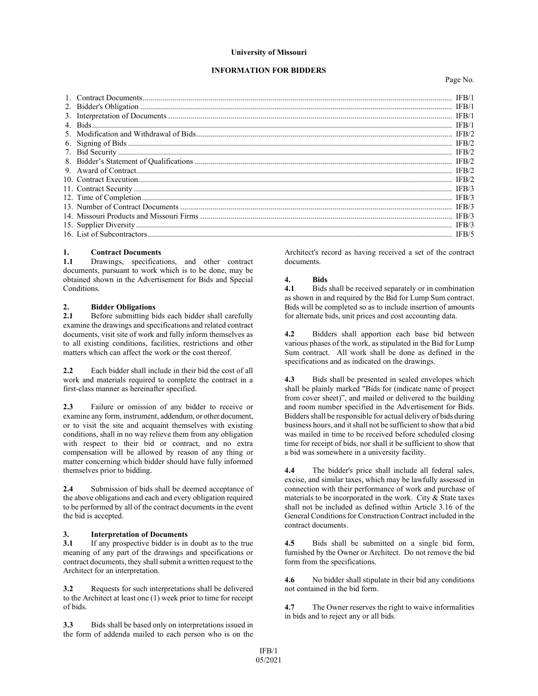#### **University of Missouri**

#### **INFORMATION FOR BIDDERS**

Page No.

| IFB/1 |
|-------|
|       |
|       |
|       |
|       |
|       |
|       |
|       |
|       |
|       |
|       |
|       |
|       |
|       |
|       |
|       |
|       |
|       |

#### **1. Contract Documents**

**1.1** Drawings, specifications, and other contract documents, pursuant to work which is to be done, may be obtained shown in the Advertisement for Bids and Special Conditions.

## 2. **Bidder Obligations**<br>2.1 **Before submitting bi**

**2.1** Before submitting bids each bidder shall carefully examine the drawings and specifications and related contract documents, visit site of work and fully inform themselves as to all existing conditions, facilities, restrictions and other matters which can affect the work or the cost thereof.

**2.2** Each bidder shall include in their bid the cost of all work and materials required to complete the contract in a first-class manner as hereinafter specified.

**2.3** Failure or omission of any bidder to receive or examine any form, instrument, addendum, or other document, or to visit the site and acquaint themselves with existing conditions, shall in no way relieve them from any obligation with respect to their bid or contract, and no extra compensation will be allowed by reason of any thing or matter concerning which bidder should have fully informed themselves prior to bidding.

**2.4** Submission of bids shall be deemed acceptance of the above obligations and each and every obligation required to be performed by all of the contract documents in the event the bid is accepted.

### **3. Interpretation of Documents**

**3.1** If any prospective bidder is in doubt as to the true meaning of any part of the drawings and specifications or contract documents, they shall submit a written request to the Architect for an interpretation.

**3.2** Requests for such interpretations shall be delivered to the Architect at least one (1) week prior to time for receipt of bids.

**3.3** Bids shall be based only on interpretations issued in the form of addenda mailed to each person who is on the Architect's record as having received a set of the contract documents.

## **4. Bids**

**4.1** Bids shall be received separately or in combination as shown in and required by the Bid for Lump Sum contract. Bids will be completed so as to include insertion of amounts for alternate bids, unit prices and cost accounting data.

**4.2** Bidders shall apportion each base bid between various phases of the work, as stipulated in the Bid for Lump Sum contract. All work shall be done as defined in the specifications and as indicated on the drawings.

**4.3** Bids shall be presented in sealed envelopes which shall be plainly marked "Bids for (indicate name of project from cover sheet)", and mailed or delivered to the building and room number specified in the Advertisement for Bids. Bidders shall be responsible for actual delivery of bids during business hours, and it shall not be sufficient to show that a bid was mailed in time to be received before scheduled closing time for receipt of bids, nor shall it be sufficient to show that a bid was somewhere in a university facility.

**4.4** The bidder's price shall include all federal sales, excise, and similar taxes, which may be lawfully assessed in connection with their performance of work and purchase of materials to be incorporated in the work. City  $\&$  State taxes shall not be included as defined within Article 3.16 of the General Conditions for Construction Contract included in the contract documents.

**4.5** Bids shall be submitted on a single bid form, furnished by the Owner or Architect. Do not remove the bid form from the specifications.

**4.6** No bidder shall stipulate in their bid any conditions not contained in the bid form.

**4.7** The Owner reserves the right to waive informalities in bids and to reject any or all bids.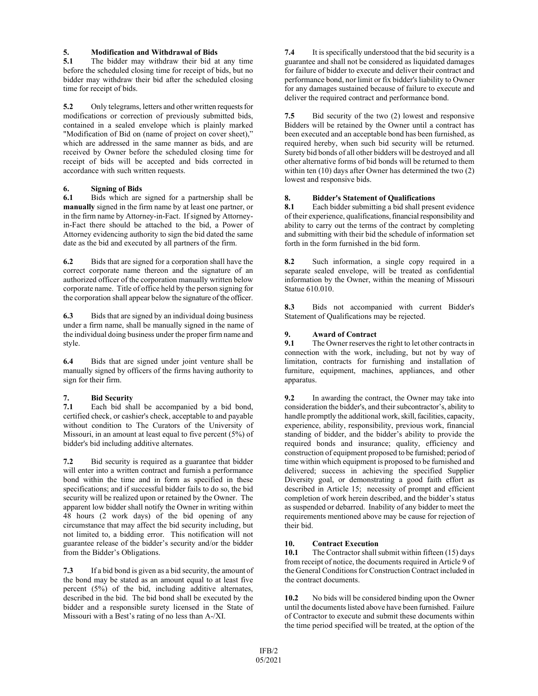## **5. Modification and Withdrawal of Bids**

**5.1** The bidder may withdraw their bid at any time before the scheduled closing time for receipt of bids, but no bidder may withdraw their bid after the scheduled closing time for receipt of bids.

**5.2** Only telegrams, letters and other written requests for modifications or correction of previously submitted bids, contained in a sealed envelope which is plainly marked "Modification of Bid on (name of project on cover sheet)," which are addressed in the same manner as bids, and are received by Owner before the scheduled closing time for receipt of bids will be accepted and bids corrected in accordance with such written requests.

# **6. Signing of Bids**

**6.1** Bids which are signed for a partnership shall be **manually** signed in the firm name by at least one partner, or in the firm name by Attorney-in-Fact. If signed by Attorneyin-Fact there should be attached to the bid, a Power of Attorney evidencing authority to sign the bid dated the same date as the bid and executed by all partners of the firm.

**6.2** Bids that are signed for a corporation shall have the correct corporate name thereon and the signature of an authorized officer of the corporation manually written below corporate name. Title of office held by the person signing for the corporation shall appear below the signature of the officer.

**6.3** Bids that are signed by an individual doing business under a firm name, shall be manually signed in the name of the individual doing business under the proper firm name and style.

**6.4** Bids that are signed under joint venture shall be manually signed by officers of the firms having authority to sign for their firm.

# **7. Bid Security**

Each bid shall be accompanied by a bid bond, certified check, or cashier's check, acceptable to and payable without condition to The Curators of the University of Missouri, in an amount at least equal to five percent (5%) of bidder's bid including additive alternates.

**7.2** Bid security is required as a guarantee that bidder will enter into a written contract and furnish a performance bond within the time and in form as specified in these specifications; and if successful bidder fails to do so, the bid security will be realized upon or retained by the Owner. The apparent low bidder shall notify the Owner in writing within 48 hours (2 work days) of the bid opening of any circumstance that may affect the bid security including, but not limited to, a bidding error. This notification will not guarantee release of the bidder's security and/or the bidder from the Bidder's Obligations.

**7.3** If a bid bond is given as a bid security, the amount of the bond may be stated as an amount equal to at least five percent (5%) of the bid, including additive alternates, described in the bid. The bid bond shall be executed by the bidder and a responsible surety licensed in the State of Missouri with a Best's rating of no less than A-/XI.

**7.4** It is specifically understood that the bid security is a guarantee and shall not be considered as liquidated damages for failure of bidder to execute and deliver their contract and performance bond, nor limit or fix bidder's liability to Owner for any damages sustained because of failure to execute and deliver the required contract and performance bond.

**7.5** Bid security of the two (2) lowest and responsive Bidders will be retained by the Owner until a contract has been executed and an acceptable bond has been furnished, as required hereby, when such bid security will be returned. Surety bid bonds of all other bidders will be destroyed and all other alternative forms of bid bonds will be returned to them within ten (10) days after Owner has determined the two (2) lowest and responsive bids.

# **8. Bidder's Statement of Qualifications**

**8.1** Each bidder submitting a bid shall present evidence of their experience, qualifications, financial responsibility and ability to carry out the terms of the contract by completing and submitting with their bid the schedule of information set forth in the form furnished in the bid form.

**8.2** Such information, a single copy required in a separate sealed envelope, will be treated as confidential information by the Owner, within the meaning of Missouri Statue 610.010.

**8.3** Bids not accompanied with current Bidder's Statement of Qualifications may be rejected.

# **9. Award of Contract**

**9.1** The Owner reserves the right to let other contracts in connection with the work, including, but not by way of limitation, contracts for furnishing and installation of furniture, equipment, machines, appliances, and other apparatus.

**9.2** In awarding the contract, the Owner may take into consideration the bidder's, and their subcontractor's, ability to handle promptly the additional work, skill, facilities, capacity, experience, ability, responsibility, previous work, financial standing of bidder, and the bidder's ability to provide the required bonds and insurance; quality, efficiency and construction of equipment proposed to be furnished; period of time within which equipment is proposed to be furnished and delivered; success in achieving the specified Supplier Diversity goal, or demonstrating a good faith effort as described in Article 15; necessity of prompt and efficient completion of work herein described, and the bidder's status as suspended or debarred. Inability of any bidder to meet the requirements mentioned above may be cause for rejection of their bid.

### **10. Contract Execution**

**10.1** The Contractor shall submit within fifteen (15) days from receipt of notice, the documents required in Article 9 of the General Conditions for Construction Contract included in the contract documents.

**10.2** No bids will be considered binding upon the Owner until the documents listed above have been furnished. Failure of Contractor to execute and submit these documents within the time period specified will be treated, at the option of the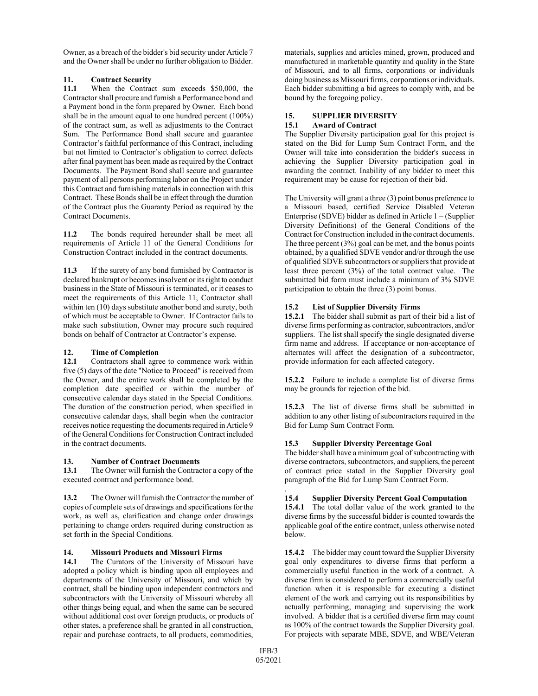Owner, as a breach of the bidder's bid security under Article 7 and the Owner shall be under no further obligation to Bidder.

# 11. **Contract Security**<br>11.1 When the Contra

When the Contract sum exceeds \$50,000, the Contractor shall procure and furnish a Performance bond and a Payment bond in the form prepared by Owner. Each bond shall be in the amount equal to one hundred percent (100%) of the contract sum, as well as adjustments to the Contract Sum. The Performance Bond shall secure and guarantee Contractor's faithful performance of this Contract, including but not limited to Contractor's obligation to correct defects after final payment has been made as required by the Contract Documents. The Payment Bond shall secure and guarantee payment of all persons performing labor on the Project under this Contract and furnishing materials in connection with this Contract. These Bonds shall be in effect through the duration of the Contract plus the Guaranty Period as required by the Contract Documents.

**11.2** The bonds required hereunder shall be meet all requirements of Article 11 of the General Conditions for Construction Contract included in the contract documents.

**11.3** If the surety of any bond furnished by Contractor is declared bankrupt or becomes insolvent or its right to conduct business in the State of Missouri is terminated, or it ceases to meet the requirements of this Article 11, Contractor shall within ten (10) days substitute another bond and surety, both of which must be acceptable to Owner. If Contractor fails to make such substitution, Owner may procure such required bonds on behalf of Contractor at Contractor's expense.

# **12. Time of Completion**

**12.1** Contractors shall agree to commence work within five (5) days of the date "Notice to Proceed" is received from the Owner, and the entire work shall be completed by the completion date specified or within the number of consecutive calendar days stated in the Special Conditions. The duration of the construction period, when specified in consecutive calendar days, shall begin when the contractor receives notice requesting the documents required in Article 9 of the General Conditions for Construction Contract included in the contract documents.

### **13. Number of Contract Documents**

**13.1** The Owner will furnish the Contractor a copy of the executed contract and performance bond.

**13.2** The Owner will furnish the Contractor the number of copies of complete sets of drawings and specifications for the work, as well as, clarification and change order drawings pertaining to change orders required during construction as set forth in the Special Conditions.

# **14. Missouri Products and Missouri Firms**

The Curators of the University of Missouri have adopted a policy which is binding upon all employees and departments of the University of Missouri, and which by contract, shall be binding upon independent contractors and subcontractors with the University of Missouri whereby all other things being equal, and when the same can be secured without additional cost over foreign products, or products of other states, a preference shall be granted in all construction, repair and purchase contracts, to all products, commodities,

materials, supplies and articles mined, grown, produced and manufactured in marketable quantity and quality in the State of Missouri, and to all firms, corporations or individuals doing business as Missouri firms, corporations or individuals. Each bidder submitting a bid agrees to comply with, and be bound by the foregoing policy.

### **15. SUPPLIER DIVERSITY**

### **15.1 Award of Contract**

The Supplier Diversity participation goal for this project is stated on the Bid for Lump Sum Contract Form, and the Owner will take into consideration the bidder's success in achieving the Supplier Diversity participation goal in awarding the contract. Inability of any bidder to meet this requirement may be cause for rejection of their bid.

The University will grant a three (3) point bonus preference to a Missouri based, certified Service Disabled Veteran Enterprise (SDVE) bidder as defined in Article 1 – (Supplier Diversity Definitions) of the General Conditions of the Contract for Construction included in the contract documents. The three percent  $(3\%)$  goal can be met, and the bonus points obtained, by a qualified SDVE vendor and/or through the use of qualified SDVE subcontractors or suppliers that provide at least three percent (3%) of the total contract value. The submitted bid form must include a minimum of 3% SDVE participation to obtain the three (3) point bonus.

### **15.2 List of Supplier Diversity Firms**

**15.2.1** The bidder shall submit as part of their bid a list of diverse firms performing as contractor, subcontractors, and/or suppliers. The list shall specify the single designated diverse firm name and address. If acceptance or non-acceptance of alternates will affect the designation of a subcontractor, provide information for each affected category.

**15.2.2** Failure to include a complete list of diverse firms may be grounds for rejection of the bid.

**15.2.3** The list of diverse firms shall be submitted in addition to any other listing of subcontractors required in the Bid for Lump Sum Contract Form.

### **15.3 Supplier Diversity Percentage Goal**

The bidder shall have a minimum goal of subcontracting with diverse contractors, subcontractors, and suppliers, the percent of contract price stated in the Supplier Diversity goal paragraph of the Bid for Lump Sum Contract Form.

#### . **15.4 Supplier Diversity Percent Goal Computation**

**15.4.1** The total dollar value of the work granted to the diverse firms by the successful bidder is counted towards the applicable goal of the entire contract, unless otherwise noted below.

**15.4.2** The bidder may count toward the Supplier Diversity goal only expenditures to diverse firms that perform a commercially useful function in the work of a contract. A diverse firm is considered to perform a commercially useful function when it is responsible for executing a distinct element of the work and carrying out its responsibilities by actually performing, managing and supervising the work involved. A bidder that is a certified diverse firm may count as 100% of the contract towards the Supplier Diversity goal. For projects with separate MBE, SDVE, and WBE/Veteran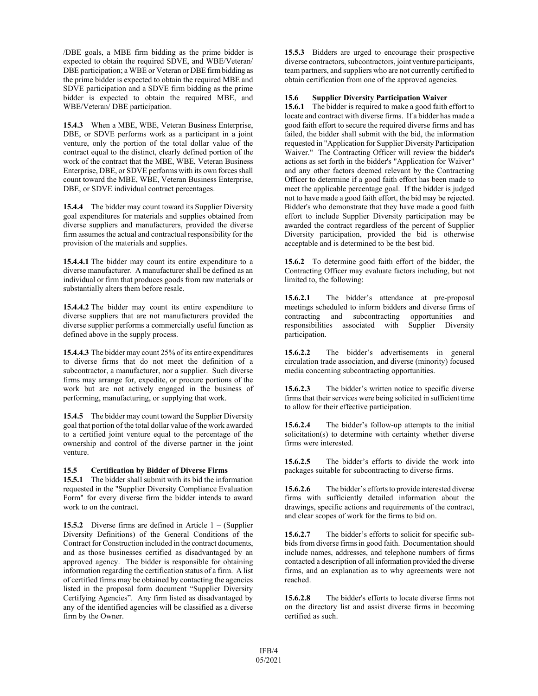/DBE goals, a MBE firm bidding as the prime bidder is expected to obtain the required SDVE, and WBE/Veteran/ DBE participation; a WBE or Veteran or DBE firm bidding as the prime bidder is expected to obtain the required MBE and SDVE participation and a SDVE firm bidding as the prime bidder is expected to obtain the required MBE, and WBE/Veteran/ DBE participation.

**15.4.3** When a MBE, WBE, Veteran Business Enterprise, DBE, or SDVE performs work as a participant in a joint venture, only the portion of the total dollar value of the contract equal to the distinct, clearly defined portion of the work of the contract that the MBE, WBE, Veteran Business Enterprise, DBE, or SDVE performs with its own forces shall count toward the MBE, WBE, Veteran Business Enterprise, DBE, or SDVE individual contract percentages.

**15.4.4** The bidder may count toward its Supplier Diversity goal expenditures for materials and supplies obtained from diverse suppliers and manufacturers, provided the diverse firm assumes the actual and contractual responsibility for the provision of the materials and supplies.

**15.4.4.1** The bidder may count its entire expenditure to a diverse manufacturer. A manufacturer shall be defined as an individual or firm that produces goods from raw materials or substantially alters them before resale.

**15.4.4.2** The bidder may count its entire expenditure to diverse suppliers that are not manufacturers provided the diverse supplier performs a commercially useful function as defined above in the supply process.

**15.4.4.3** The bidder may count 25% of its entire expenditures to diverse firms that do not meet the definition of a subcontractor, a manufacturer, nor a supplier. Such diverse firms may arrange for, expedite, or procure portions of the work but are not actively engaged in the business of performing, manufacturing, or supplying that work.

**15.4.5** The bidder may count toward the Supplier Diversity goal that portion of the total dollar value of the work awarded to a certified joint venture equal to the percentage of the ownership and control of the diverse partner in the joint venture.

#### **15.5 Certification by Bidder of Diverse Firms**

**15.5.1** The bidder shall submit with its bid the information requested in the "Supplier Diversity Compliance Evaluation Form" for every diverse firm the bidder intends to award work to on the contract.

**15.5.2** Diverse firms are defined in Article 1 – (Supplier Diversity Definitions) of the General Conditions of the Contract for Construction included in the contract documents, and as those businesses certified as disadvantaged by an approved agency. The bidder is responsible for obtaining information regarding the certification status of a firm. A list of certified firms may be obtained by contacting the agencies listed in the proposal form document "Supplier Diversity Certifying Agencies". Any firm listed as disadvantaged by any of the identified agencies will be classified as a diverse firm by the Owner.

**15.5.3** Bidders are urged to encourage their prospective diverse contractors, subcontractors, joint venture participants, team partners, and suppliers who are not currently certified to obtain certification from one of the approved agencies.

#### **15.6 Supplier Diversity Participation Waiver**

**15.6.1** The bidder is required to make a good faith effort to locate and contract with diverse firms. If a bidder has made a good faith effort to secure the required diverse firms and has failed, the bidder shall submit with the bid, the information requested in "Application for Supplier Diversity Participation Waiver." The Contracting Officer will review the bidder's actions as set forth in the bidder's "Application for Waiver" and any other factors deemed relevant by the Contracting Officer to determine if a good faith effort has been made to meet the applicable percentage goal. If the bidder is judged not to have made a good faith effort, the bid may be rejected. Bidder's who demonstrate that they have made a good faith effort to include Supplier Diversity participation may be awarded the contract regardless of the percent of Supplier Diversity participation, provided the bid is otherwise acceptable and is determined to be the best bid.

**15.6.2** To determine good faith effort of the bidder, the Contracting Officer may evaluate factors including, but not limited to, the following:

**15.6.2.1** The bidder's attendance at pre-proposal meetings scheduled to inform bidders and diverse firms of contracting and subcontracting opportunities and responsibilities associated with Supplier Diversity participation.

**15.6.2.2** The bidder's advertisements in general circulation trade association, and diverse (minority) focused media concerning subcontracting opportunities.

**15.6.2.3** The bidder's written notice to specific diverse firms that their services were being solicited in sufficient time to allow for their effective participation.

**15.6.2.4** The bidder's follow-up attempts to the initial solicitation(s) to determine with certainty whether diverse firms were interested.

**15.6.2.5** The bidder's efforts to divide the work into packages suitable for subcontracting to diverse firms.

**15.6.2.6** The bidder's efforts to provide interested diverse firms with sufficiently detailed information about the drawings, specific actions and requirements of the contract, and clear scopes of work for the firms to bid on.

**15.6.2.7** The bidder's efforts to solicit for specific subbids from diverse firms in good faith. Documentation should include names, addresses, and telephone numbers of firms contacted a description of all information provided the diverse firms, and an explanation as to why agreements were not reached.

**15.6.2.8** The bidder's efforts to locate diverse firms not on the directory list and assist diverse firms in becoming certified as such.